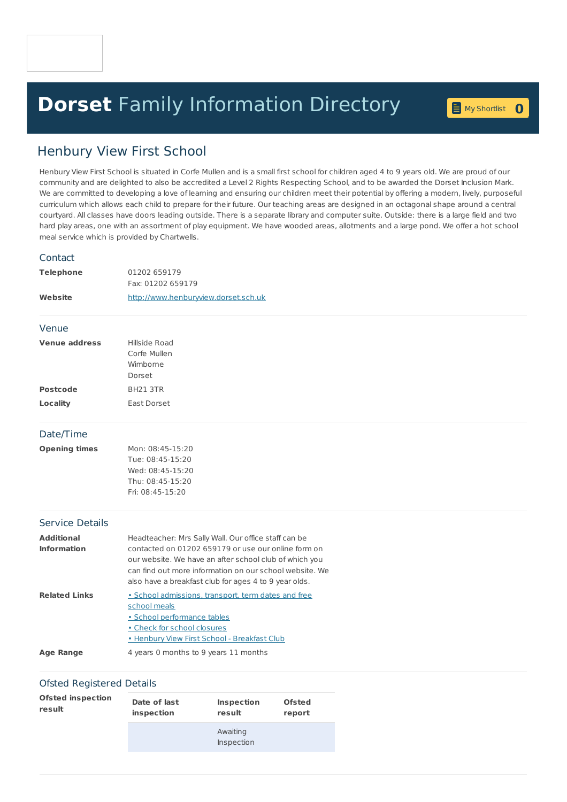## **Dorset** Family [Information](home.page) Directory **0**

## Henbury View First School

Henbury View First School is situated in Corfe Mullen and is a small first school for children aged 4 to 9 years old. We are proud of our community and are delighted to also be accredited a Level 2 Rights Respecting School, and to be awarded the Dorset Inclusion Mark. We are committed to developing a love of learning and ensuring our children meet their potential by offering a modern, lively, purposeful curriculum which allows each child to prepare for their future. Our teaching areas are designed in an octagonal shape around a central courtyard. All classes have doors leading outside. There is a separate library and computer suite. Outside: there is a large field and two hard play areas, one with an assortment of play equipment. We have wooded areas, allotments and a large pond. We offer a hot school meal service which is provided by Chartwells.

| Contact                                 |                                                                                                                                                                                                                                                                                           |
|-----------------------------------------|-------------------------------------------------------------------------------------------------------------------------------------------------------------------------------------------------------------------------------------------------------------------------------------------|
| <b>Telephone</b>                        | 01202 659179<br>Fax: 01202 659179                                                                                                                                                                                                                                                         |
| Website                                 | http://www.henburyview.dorset.sch.uk                                                                                                                                                                                                                                                      |
| Venue                                   |                                                                                                                                                                                                                                                                                           |
| <b>Venue address</b>                    | Hillside Road<br>Corfe Mullen<br>Wimborne<br>Dorset                                                                                                                                                                                                                                       |
| <b>Postcode</b>                         | BH21 3TR                                                                                                                                                                                                                                                                                  |
| Locality                                | East Dorset                                                                                                                                                                                                                                                                               |
| Date/Time                               |                                                                                                                                                                                                                                                                                           |
| <b>Opening times</b>                    | Mon: 08:45-15:20<br>Tue: 08:45-15:20<br>Wed: 08:45-15:20<br>Thu: 08:45-15:20<br>Fri: 08:45-15:20                                                                                                                                                                                          |
| <b>Service Details</b>                  |                                                                                                                                                                                                                                                                                           |
| <b>Additional</b><br><b>Information</b> | Headteacher: Mrs Sally Wall. Our office staff can be<br>contacted on 01202 659179 or use our online form on<br>our website. We have an after school club of which you<br>can find out more information on our school website. We<br>also have a breakfast club for ages 4 to 9 year olds. |
| <b>Related Links</b>                    | · School admissions, transport, term dates and free<br>school meals<br>· School performance tables<br>. Check for school closures<br>· Henbury View First School - Breakfast Club                                                                                                         |
| <b>Age Range</b>                        | 4 years 0 months to 9 years 11 months                                                                                                                                                                                                                                                     |
|                                         |                                                                                                                                                                                                                                                                                           |

## Ofsted Registered Details

| <b>Ofsted inspection</b> | Date of last | <b>Inspection</b>      | <b>Ofsted</b> |
|--------------------------|--------------|------------------------|---------------|
| result                   | inspection   | result                 | report        |
|                          |              | Awaiting<br>Inspection |               |